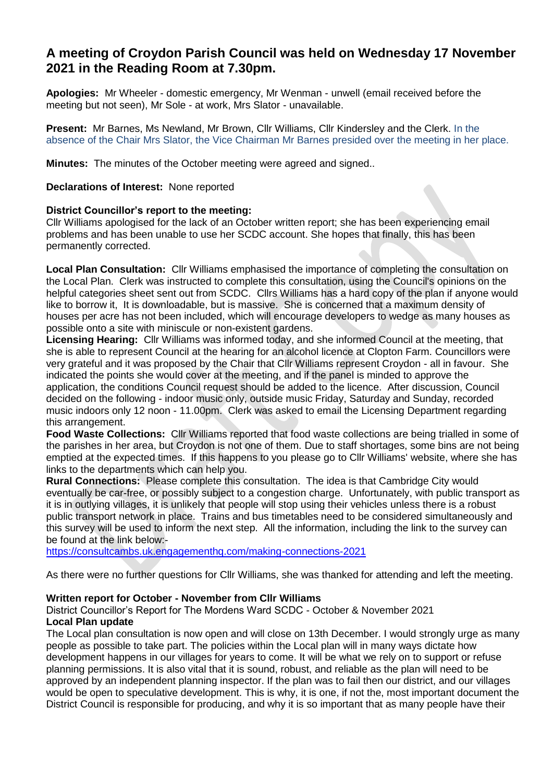# **A meeting of Croydon Parish Council was held on Wednesday 17 November 2021 in the Reading Room at 7.30pm.**

**Apologies:** Mr Wheeler - domestic emergency, Mr Wenman - unwell (email received before the meeting but not seen), Mr Sole - at work, Mrs Slator - unavailable.

**Present:** Mr Barnes, Ms Newland, Mr Brown, Cllr Williams, Cllr Kindersley and the Clerk. In the absence of the Chair Mrs Slator, the Vice Chairman Mr Barnes presided over the meeting in her place.

**Minutes:** The minutes of the October meeting were agreed and signed..

**Declarations of Interest:** None reported

#### **District Councillor's report to the meeting:**

Cllr Williams apologised for the lack of an October written report; she has been experiencing email problems and has been unable to use her SCDC account. She hopes that finally, this has been permanently corrected.

**Local Plan Consultation:** Cllr Williams emphasised the importance of completing the consultation on the Local Plan. Clerk was instructed to complete this consultation, using the Council's opinions on the helpful categories sheet sent out from SCDC. Cllrs Williams has a hard copy of the plan if anyone would like to borrow it, It is downloadable, but is massive. She is concerned that a maximum density of houses per acre has not been included, which will encourage developers to wedge as many houses as possible onto a site with miniscule or non-existent gardens.

**Licensing Hearing:** Cllr Williams was informed today, and she informed Council at the meeting, that she is able to represent Council at the hearing for an alcohol licence at Clopton Farm. Councillors were very grateful and it was proposed by the Chair that Cllr Williams represent Croydon - all in favour. She indicated the points she would cover at the meeting, and if the panel is minded to approve the application, the conditions Council request should be added to the licence. After discussion, Council decided on the following - indoor music only, outside music Friday, Saturday and Sunday, recorded music indoors only 12 noon - 11.00pm. Clerk was asked to email the Licensing Department regarding this arrangement.

**Food Waste Collections:** Cllr Williams reported that food waste collections are being trialled in some of the parishes in her area, but Croydon is not one of them. Due to staff shortages, some bins are not being emptied at the expected times. If this happens to you please go to Cllr Williams' website, where she has links to the departments which can help you.

**Rural Connections:** Please complete this consultation. The idea is that Cambridge City would eventually be car-free, or possibly subject to a congestion charge. Unfortunately, with public transport as it is in outlying villages, it is unlikely that people will stop using their vehicles unless there is a robust public transport network in place. Trains and bus timetables need to be considered simultaneously and this survey will be used to inform the next step. All the information, including the link to the survey can be found at the link below:-

<https://consultcambs.uk.engagementhq.com/making-connections-2021>

As there were no further questions for Cllr Williams, she was thanked for attending and left the meeting.

#### **Written report for October - November from Cllr Williams**

District Councillor's Report for The Mordens Ward SCDC - October & November 2021 **Local Plan update** 

The Local plan consultation is now open and will close on 13th December. I would strongly urge as many people as possible to take part. The policies within the Local plan will in many ways dictate how development happens in our villages for years to come. It will be what we rely on to support or refuse planning permissions. It is also vital that it is sound, robust, and reliable as the plan will need to be approved by an independent planning inspector. If the plan was to fail then our district, and our villages would be open to speculative development. This is why, it is one, if not the, most important document the District Council is responsible for producing, and why it is so important that as many people have their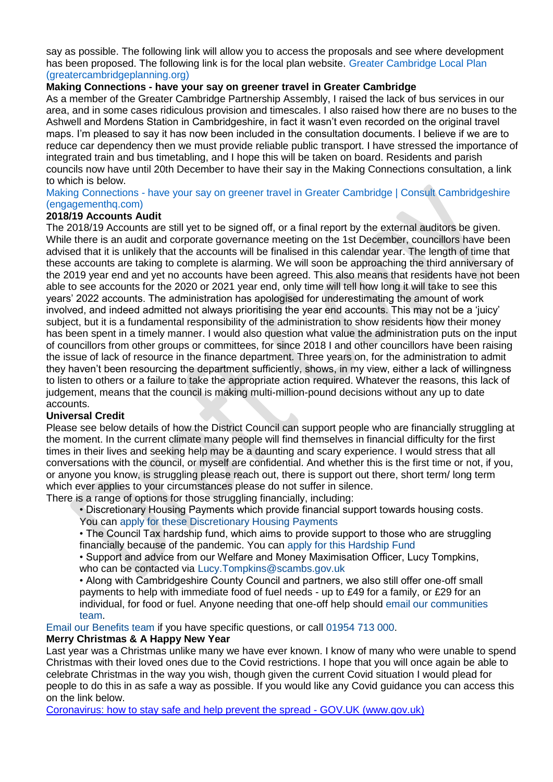say as possible. The following link will allow you to access the proposals and see where development has been proposed. The following link is for the local plan website. Greater Cambridge Local Plan (greatercambridgeplanning.org)

## **Making Connections - have your say on greener travel in Greater Cambridge**

As a member of the Greater Cambridge Partnership Assembly, I raised the lack of bus services in our area, and in some cases ridiculous provision and timescales. I also raised how there are no buses to the Ashwell and Mordens Station in Cambridgeshire, in fact it wasn't even recorded on the original travel maps. I'm pleased to say it has now been included in the consultation documents. I believe if we are to reduce car dependency then we must provide reliable public transport. I have stressed the importance of integrated train and bus timetabling, and I hope this will be taken on board. Residents and parish councils now have until 20th December to have their say in the Making Connections consultation, a link to which is below.

#### Making Connections - have your say on greener travel in Greater Cambridge | Consult Cambridgeshire (engagementhq.com)

## **2018/19 Accounts Audit**

The 2018/19 Accounts are still yet to be signed off, or a final report by the external auditors be given. While there is an audit and corporate governance meeting on the 1st December, councillors have been advised that it is unlikely that the accounts will be finalised in this calendar year. The length of time that these accounts are taking to complete is alarming. We will soon be approaching the third anniversary of the 2019 year end and yet no accounts have been agreed. This also means that residents have not been able to see accounts for the 2020 or 2021 year end, only time will tell how long it will take to see this years' 2022 accounts. The administration has apologised for underestimating the amount of work involved, and indeed admitted not always prioritising the year end accounts. This may not be a 'juicy' subject, but it is a fundamental responsibility of the administration to show residents how their money has been spent in a timely manner. I would also question what value the administration puts on the input of councillors from other groups or committees, for since 2018 I and other councillors have been raising the issue of lack of resource in the finance department. Three years on, for the administration to admit they haven't been resourcing the department sufficiently, shows, in my view, either a lack of willingness to listen to others or a failure to take the appropriate action required. Whatever the reasons, this lack of judgement, means that the council is making multi-million-pound decisions without any up to date accounts.

#### **Universal Credit**

Please see below details of how the District Council can support people who are financially struggling at the moment. In the current climate many people will find themselves in financial difficulty for the first times in their lives and seeking help may be a daunting and scary experience. I would stress that all conversations with the council, or myself are confidential. And whether this is the first time or not, if you, or anyone you know, is struggling please reach out, there is support out there, short term/ long term which ever applies to your circumstances please do not suffer in silence.

There is a range of options for those struggling financially, including:

- Discretionary Housing Payments which provide financial support towards housing costs.
- You can apply for these Discretionary Housing Payments

• The Council Tax hardship fund, which aims to provide support to those who are struggling financially because of the pandemic. You can apply for this Hardship Fund

• Support and advice from our Welfare and Money Maximisation Officer, Lucy Tompkins, who can be contacted via Lucy.Tompkins@scambs.gov.uk

• Along with Cambridgeshire County Council and partners, we also still offer one-off small payments to help with immediate food of fuel needs - up to £49 for a family, or £29 for an individual, for food or fuel. Anyone needing that one-off help should email our communities team.

Email our Benefits team if you have specific questions, or call 01954 713 000.

#### **Merry Christmas & A Happy New Year**

Last year was a Christmas unlike many we have ever known. I know of many who were unable to spend Christmas with their loved ones due to the Covid restrictions. I hope that you will once again be able to celebrate Christmas in the way you wish, though given the current Covid situation I would plead for people to do this in as safe a way as possible. If you would like any Covid guidance you can access this on the link below.

[Coronavirus: how to stay safe and help prevent the spread -](Coronavirus:%20how%20to%20stay%20safe%20and%20help%20prevent%20the%20spread%20-%20GOV.UK%20(www.gov.uk)%20) GOV.UK (www.gov.uk)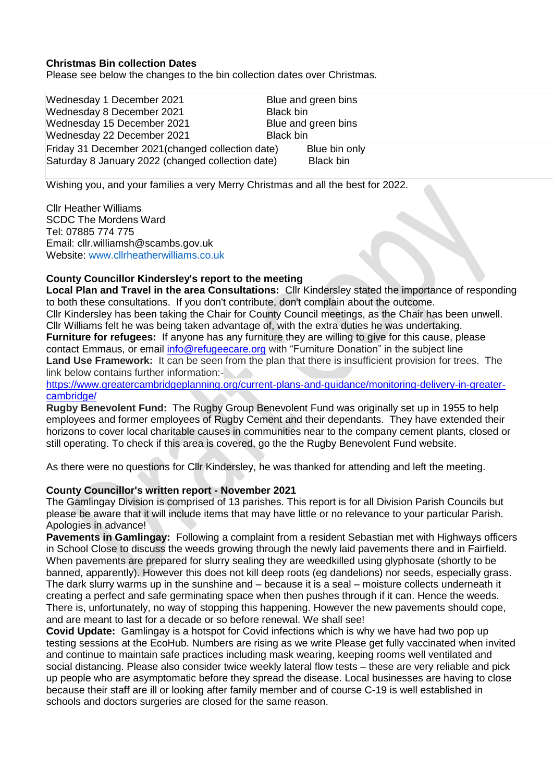#### **Christmas Bin collection Dates**

Please see below the changes to the bin collection dates over Christmas.

Wednesday 1 December 2021 Blue and green bins Wednesday 8 December 2021 Black bin Wednesday 15 December 2021 Blue and green bins Wednesday 22 December 2021 Black bin Friday 31 December 2021 (changed collection date) Blue bin only Saturday 8 January 2022 (changed collection date) Black bin

Wishing you, and your families a very Merry Christmas and all the best for 2022.

Cllr Heather Williams SCDC The Mordens Ward Tel: 07885 774 775 Email: cllr.williamsh@scambs.gov.uk Website: www.cllrheatherwilliams.co.uk

#### **County Councillor Kindersley's report to the meeting**

**Local Plan and Travel in the area Consultations:** Cllr Kindersley stated the importance of responding to both these consultations. If you don't contribute, don't complain about the outcome. Cllr Kindersley has been taking the Chair for County Council meetings, as the Chair has been unwell. Cllr Williams felt he was being taken advantage of, with the extra duties he was undertaking. **Furniture for refugees:** If anyone has any furniture they are willing to give for this cause, please contact Emmaus, or email [info@refugeecare.org](mailto:info@refugeecare.org) with "Furniture Donation" in the subject line Land Use Framework: It can be seen from the plan that there is insufficient provision for trees. The link below contains further information:-

[https://www.greatercambridgeplanning.org/current-plans-and-guidance/monitoring-delivery-in-greater](https://www.greatercambridgeplanning.org/current-plans-and-guidance/monitoring-delivery-in-greater-cambridge/)[cambridge/](https://www.greatercambridgeplanning.org/current-plans-and-guidance/monitoring-delivery-in-greater-cambridge/)

**Rugby Benevolent Fund:** The Rugby Group Benevolent Fund was originally set up in 1955 to help employees and former employees of Rugby Cement and their dependants. They have extended their horizons to cover local charitable causes in communities near to the company cement plants, closed or still operating. To check if this area is covered, go the the Rugby Benevolent Fund website.

As there were no questions for Cllr Kindersley, he was thanked for attending and left the meeting.

#### **County Councillor's written report - November 2021**

The Gamlingay Division is comprised of 13 parishes. This report is for all Division Parish Councils but please be aware that it will include items that may have little or no relevance to your particular Parish. Apologies in advance!

**Pavements in Gamlingay:** Following a complaint from a resident Sebastian met with Highways officers in School Close to discuss the weeds growing through the newly laid pavements there and in Fairfield. When pavements are prepared for slurry sealing they are weedkilled using glyphosate (shortly to be banned, apparently). However this does not kill deep roots (eg dandelions) nor seeds, especially grass. The dark slurry warms up in the sunshine and – because it is a seal – moisture collects underneath it creating a perfect and safe germinating space when then pushes through if it can. Hence the weeds. There is, unfortunately, no way of stopping this happening. However the new pavements should cope, and are meant to last for a decade or so before renewal. We shall see!

**Covid Update:** Gamlingay is a hotspot for Covid infections which is why we have had two pop up testing sessions at the EcoHub. Numbers are rising as we write Please get fully vaccinated when invited and continue to maintain safe practices including mask wearing, keeping rooms well ventilated and social distancing. Please also consider twice weekly lateral flow tests – these are very reliable and pick up people who are asymptomatic before they spread the disease. Local businesses are having to close because their staff are ill or looking after family member and of course C-19 is well established in schools and doctors surgeries are closed for the same reason.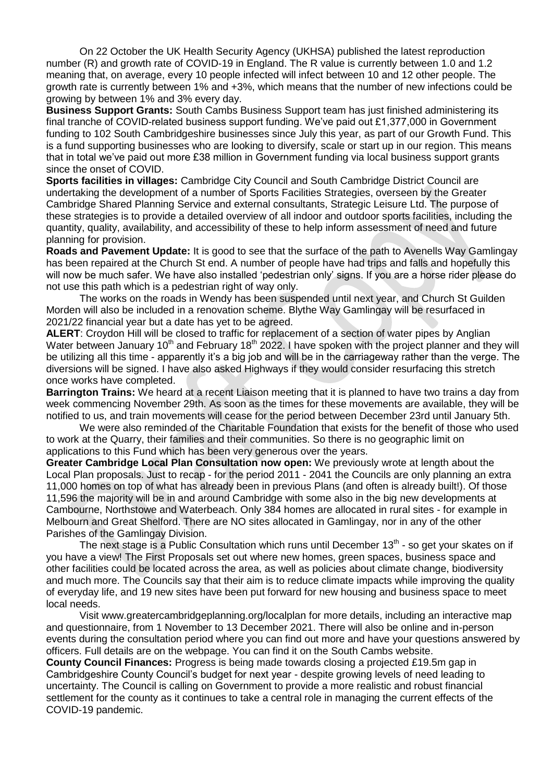On 22 October the UK Health Security Agency (UKHSA) published the latest reproduction number (R) and growth rate of COVID-19 in England. The R value is currently between 1.0 and 1.2 meaning that, on average, every 10 people infected will infect between 10 and 12 other people. The growth rate is currently between 1% and +3%, which means that the number of new infections could be growing by between 1% and 3% every day.

**Business Support Grants:** South Cambs Business Support team has just finished administering its final tranche of COVID-related business support funding. We've paid out £1,377,000 in Government funding to 102 South Cambridgeshire businesses since July this year, as part of our Growth Fund. This is a fund supporting businesses who are looking to diversify, scale or start up in our region. This means that in total we've paid out more £38 million in Government funding via local business support grants since the onset of COVID.

**Sports facilities in villages:** Cambridge City Council and South Cambridge District Council are undertaking the development of a number of Sports Facilities Strategies, overseen by the Greater Cambridge Shared Planning Service and external consultants, Strategic Leisure Ltd. The purpose of these strategies is to provide a detailed overview of all indoor and outdoor sports facilities, including the quantity, quality, availability, and accessibility of these to help inform assessment of need and future planning for provision.

**Roads and Pavement Update:** It is good to see that the surface of the path to Avenells Way Gamlingay has been repaired at the Church St end. A number of people have had trips and falls and hopefully this will now be much safer. We have also installed 'pedestrian only' signs. If you are a horse rider please do not use this path which is a pedestrian right of way only.

The works on the roads in Wendy has been suspended until next year, and Church St Guilden Morden will also be included in a renovation scheme. Blythe Way Gamlingay will be resurfaced in 2021/22 financial year but a date has yet to be agreed.

**ALERT**: Croydon Hill will be closed to traffic for replacement of a section of water pipes by Anglian Water between January 10<sup>th</sup> and February 18<sup>th</sup> 2022. I have spoken with the project planner and they will be utilizing all this time - apparently it's a big job and will be in the carriageway rather than the verge. The diversions will be signed. I have also asked Highways if they would consider resurfacing this stretch once works have completed.

**Barrington Trains:** We heard at a recent Liaison meeting that it is planned to have two trains a day from week commencing November 29th. As soon as the times for these movements are available, they will be notified to us, and train movements will cease for the period between December 23rd until January 5th.

We were also reminded of the Charitable Foundation that exists for the benefit of those who used to work at the Quarry, their families and their communities. So there is no geographic limit on applications to this Fund which has been very generous over the years.

**Greater Cambridge Local Plan Consultation now open:** We previously wrote at length about the Local Plan proposals. Just to recap - for the period 2011 - 2041 the Councils are only planning an extra 11,000 homes on top of what has already been in previous Plans (and often is already built!). Of those 11,596 the majority will be in and around Cambridge with some also in the big new developments at Cambourne, Northstowe and Waterbeach. Only 384 homes are allocated in rural sites - for example in Melbourn and Great Shelford. There are NO sites allocated in Gamlingay, nor in any of the other Parishes of the Gamlingay Division.

The next stage is a Public Consultation which runs until December 13<sup>th</sup> - so get your skates on if you have a view! The First Proposals set out where new homes, green spaces, business space and other facilities could be located across the area, as well as policies about climate change, biodiversity and much more. The Councils say that their aim is to reduce climate impacts while improving the quality of everyday life, and 19 new sites have been put forward for new housing and business space to meet local needs.

Visit<www.greatercambridgeplanning.org/localplan> for more details, including an interactive map and questionnaire, from 1 November to 13 December 2021. There will also be online and in-person events during the consultation period where you can find out more and have your questions answered by officers. Full details are on the webpage. You can find it on the South Cambs website.

**County Council Finances:** Progress is being made towards closing a projected £19.5m gap in Cambridgeshire County Council's budget for next year - despite growing levels of need leading to uncertainty. The Council is calling on Government to provide a more realistic and robust financial settlement for the county as it continues to take a central role in managing the current effects of the COVID-19 pandemic.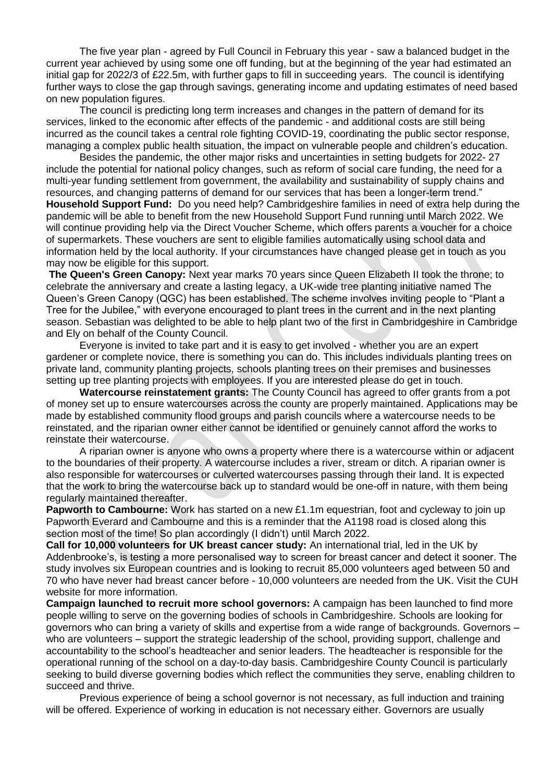The five year plan - agreed by Full Council in February this year - saw a balanced budget in the current year achieved by using some one off funding, but at the beginning of the year had estimated an initial gap for 2022/3 of £22.5m, with further gaps to fill in succeeding years. The council is identifying further ways to close the gap through savings, generating income and updating estimates of need based on new population figures.

The council is predicting long term increases and changes in the pattern of demand for its services, linked to the economic after effects of the pandemic - and additional costs are still being incurred as the council takes a central role fighting COVID-19, coordinating the public sector response, managing a complex public health situation, the impact on vulnerable people and children's education.

Besides the pandemic, the other major risks and uncertainties in setting budgets for 2022- 27 include the potential for national policy changes, such as reform of social care funding, the need for a multi-year funding settlement from government, the availability and sustainability of supply chains and resources, and changing patterns of demand for our services that has been a longer-term trend." **Household Support Fund:** Do you need help? Cambridgeshire families in need of extra help during the pandemic will be able to benefit from the new Household Support Fund running until March 2022. We will continue providing help via the Direct Voucher Scheme, which offers parents a voucher for a choice of supermarkets. These vouchers are sent to eligible families automatically using school data and information held by the local authority. If your circumstances have changed please get in touch as you may now be eligible for this support.

**The Queen's Green Canopy:** Next year marks 70 years since Queen Elizabeth II took the throne; to celebrate the anniversary and create a lasting legacy, a UK-wide tree planting initiative named The Queen's Green Canopy (QGC) has been established. The scheme involves inviting people to "Plant a Tree for the Jubilee," with everyone encouraged to plant trees in the current and in the next planting season. Sebastian was delighted to be able to help plant two of the first in Cambridgeshire in Cambridge and Ely on behalf of the County Council.

Everyone is invited to take part and it is easy to get involved - whether you are an expert gardener or complete novice, there is something you can do. This includes individuals planting trees on private land, community planting projects, schools planting trees on their premises and businesses setting up tree planting projects with employees. If you are interested please do get in touch.

**Watercourse reinstatement grants:** The County Council has agreed to offer grants from a pot of money set up to ensure watercourses across the county are properly maintained. Applications may be made by established community flood groups and parish councils where a watercourse needs to be reinstated, and the riparian owner either cannot be identified or genuinely cannot afford the works to reinstate their watercourse.

A riparian owner is anyone who owns a property where there is a watercourse within or adjacent to the boundaries of their property. A watercourse includes a river, stream or ditch. A riparian owner is also responsible for watercourses or culverted watercourses passing through their land. It is expected that the work to bring the watercourse back up to standard would be one-off in nature, with them being regularly maintained thereafter.

**Papworth to Cambourne:** Work has started on a new £1.1m equestrian, foot and cycleway to join up Papworth Everard and Cambourne and this is a reminder that the A1198 road is closed along this section most of the time! So plan accordingly (I didn't) until March 2022.

**Call for 10,000 volunteers for UK breast cancer study:** An international trial, led in the UK by Addenbrooke's, is testing a more personalised way to screen for breast cancer and detect it sooner. The study involves six European countries and is looking to recruit 85,000 volunteers aged between 50 and 70 who have never had breast cancer before - 10,000 volunteers are needed from the UK. Visit the CUH website for more information.

**Campaign launched to recruit more school governors:** A campaign has been launched to find more people willing to serve on the governing bodies of schools in Cambridgeshire. Schools are looking for governors who can bring a variety of skills and expertise from a wide range of backgrounds. Governors – who are volunteers – support the strategic leadership of the school, providing support, challenge and accountability to the school's headteacher and senior leaders. The headteacher is responsible for the operational running of the school on a day-to-day basis. Cambridgeshire County Council is particularly seeking to build diverse governing bodies which reflect the communities they serve, enabling children to succeed and thrive.

Previous experience of being a school governor is not necessary, as full induction and training will be offered. Experience of working in education is not necessary either. Governors are usually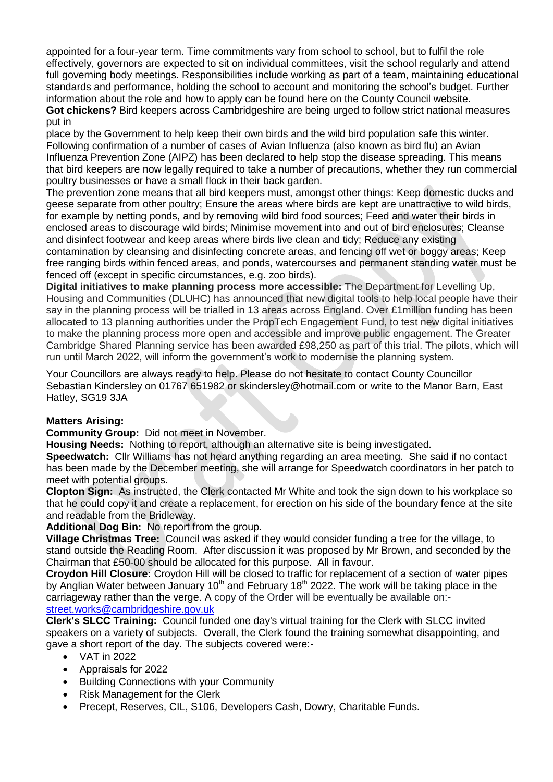appointed for a four-year term. Time commitments vary from school to school, but to fulfil the role effectively, governors are expected to sit on individual committees, visit the school regularly and attend full governing body meetings. Responsibilities include working as part of a team, maintaining educational standards and performance, holding the school to account and monitoring the school's budget. Further information about the role and how to apply can be found here on the County Council website. **Got chickens?** Bird keepers across Cambridgeshire are being urged to follow strict national measures put in

place by the Government to help keep their own birds and the wild bird population safe this winter. Following confirmation of a number of cases of Avian Influenza (also known as bird flu) an Avian Influenza Prevention Zone (AIPZ) has been declared to help stop the disease spreading. This means that bird keepers are now legally required to take a number of precautions, whether they run commercial poultry businesses or have a small flock in their back garden.

The prevention zone means that all bird keepers must, amongst other things: Keep domestic ducks and geese separate from other poultry; Ensure the areas where birds are kept are unattractive to wild birds, for example by netting ponds, and by removing wild bird food sources; Feed and water their birds in enclosed areas to discourage wild birds; Minimise movement into and out of bird enclosures; Cleanse and disinfect footwear and keep areas where birds live clean and tidy; Reduce any existing contamination by cleansing and disinfecting concrete areas, and fencing off wet or boggy areas; Keep free ranging birds within fenced areas, and ponds, watercourses and permanent standing water must be fenced off (except in specific circumstances, e.g. zoo birds).

**Digital initiatives to make planning process more accessible:** The Department for Levelling Up, Housing and Communities (DLUHC) has announced that new digital tools to help local people have their say in the planning process will be trialled in 13 areas across England. Over £1million funding has been allocated to 13 planning authorities under the PropTech Engagement Fund, to test new digital initiatives to make the planning process more open and accessible and improve public engagement. The Greater Cambridge Shared Planning service has been awarded £98,250 as part of this trial. The pilots, which will run until March 2022, will inform the government's work to modernise the planning system.

Your Councillors are always ready to help. Please do not hesitate to contact County Councillor Sebastian Kindersley on 01767 651982 or skindersley@hotmail.com or write to the Manor Barn, East Hatley, SG19 3JA

# **Matters Arising:**

**Community Group:** Did not meet in November.

**Housing Needs:** Nothing to report, although an alternative site is being investigated.

**Speedwatch:** Cllr Williams has not heard anything regarding an area meeting. She said if no contact has been made by the December meeting, she will arrange for Speedwatch coordinators in her patch to meet with potential groups.

**Clopton Sign:** As instructed, the Clerk contacted Mr White and took the sign down to his workplace so that he could copy it and create a replacement, for erection on his side of the boundary fence at the site and readable from the Bridleway.

**Additional Dog Bin:** No report from the group.

**Village Christmas Tree:** Council was asked if they would consider funding a tree for the village, to stand outside the Reading Room. After discussion it was proposed by Mr Brown, and seconded by the Chairman that £50-00 should be allocated for this purpose. All in favour.

**Croydon Hill Closure:** Croydon Hill will be closed to traffic for replacement of a section of water pipes by Anglian Water between January 10<sup>th</sup> and February 18<sup>th</sup> 2022. The work will be taking place in the carriageway rather than the verge. A copy of the Order will be eventually be available on: [street.works@cambridgeshire.gov.uk](street.works@cambridgeshire.gov.uk%20%20)

**Clerk's SLCC Training:** Council funded one day's virtual training for the Clerk with SLCC invited speakers on a variety of subjects. Overall, the Clerk found the training somewhat disappointing, and gave a short report of the day. The subjects covered were:-

- VAT in 2022
- Appraisals for 2022
- Building Connections with your Community
- Risk Management for the Clerk
- Precept, Reserves, CIL, S106, Developers Cash, Dowry, Charitable Funds.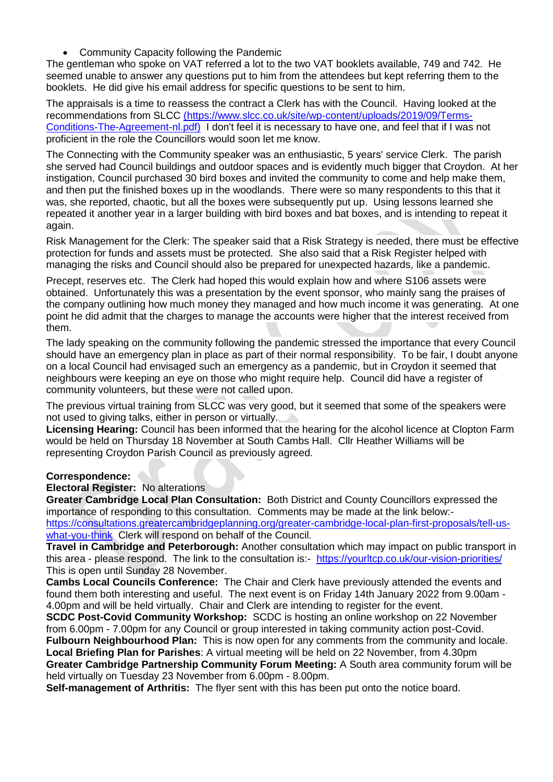• Community Capacity following the Pandemic

The gentleman who spoke on VAT referred a lot to the two VAT booklets available, 749 and 742. He seemed unable to answer any questions put to him from the attendees but kept referring them to the booklets. He did give his email address for specific questions to be sent to him.

The appraisals is a time to reassess the contract a Clerk has with the Council. Having looked at the recommendations from SLCC [\(https://www.slcc.co.uk/site/wp-content/uploads/2019/09/Terms-]((https:/www.slcc.co.uk/site/wp-content/uploads/2019/09/Terms-Conditions-The-Agreement-nl.pdf))[Conditions-The-Agreement-nl.pdf\)]((https:/www.slcc.co.uk/site/wp-content/uploads/2019/09/Terms-Conditions-The-Agreement-nl.pdf)) I don't feel it is necessary to have one, and feel that if I was not proficient in the role the Councillors would soon let me know.

The Connecting with the Community speaker was an enthusiastic, 5 years' service Clerk. The parish she served had Council buildings and outdoor spaces and is evidently much bigger that Croydon. At her instigation, Council purchased 30 bird boxes and invited the community to come and help make them, and then put the finished boxes up in the woodlands. There were so many respondents to this that it was, she reported, chaotic, but all the boxes were subsequently put up. Using lessons learned she repeated it another year in a larger building with bird boxes and bat boxes, and is intending to repeat it again.

Risk Management for the Clerk: The speaker said that a Risk Strategy is needed, there must be effective protection for funds and assets must be protected. She also said that a Risk Register helped with managing the risks and Council should also be prepared for unexpected hazards, like a pandemic.

Precept, reserves etc. The Clerk had hoped this would explain how and where S106 assets were obtained. Unfortunately this was a presentation by the event sponsor, who mainly sang the praises of the company outlining how much money they managed and how much income it was generating. At one point he did admit that the charges to manage the accounts were higher that the interest received from them.

The lady speaking on the community following the pandemic stressed the importance that every Council should have an emergency plan in place as part of their normal responsibility. To be fair, I doubt anyone on a local Council had envisaged such an emergency as a pandemic, but in Croydon it seemed that neighbours were keeping an eye on those who might require help. Council did have a register of community volunteers, but these were not called upon.

The previous virtual training from SLCC was very good, but it seemed that some of the speakers were not used to giving talks, either in person or virtually.

**Licensing Hearing:** Council has been informed that the hearing for the alcohol licence at Clopton Farm would be held on Thursday 18 November at South Cambs Hall. Cllr Heather Williams will be representing Croydon Parish Council as previously agreed.

#### **Correspondence:**

#### **Electoral Register:** No alterations

**Greater Cambridge Local Plan Consultation:** Both District and County Councillors expressed the importance of responding to this consultation. Comments may be made at the link below: [https://consultations.greatercambridgeplanning.org/greater-cambridge-local-plan-first-proposals/tell-us](https://consultations.greatercambridgeplanning.org/greater-cambridge-local-plan-first-proposals/tell-us-what-you-think)[what-you-think](https://consultations.greatercambridgeplanning.org/greater-cambridge-local-plan-first-proposals/tell-us-what-you-think) Clerk will respond on behalf of the Council.

**Travel in Cambridge and Peterborough:** Another consultation which may impact on public transport in this area - please respond. The link to the consultation is:- <https://yourltcp.co.uk/our-vision-priorities/> This is open until Sunday 28 November.

**Cambs Local Councils Conference:** The Chair and Clerk have previously attended the events and found them both interesting and useful. The next event is on Friday 14th January 2022 from 9.00am - 4.00pm and will be held virtually. Chair and Clerk are intending to register for the event.

**SCDC Post-Covid Community Workshop:** SCDC is hosting an online workshop on 22 November from 6.00pm - 7.00pm for any Council or group interested in taking community action post-Covid. **Fulbourn Neighbourhood Plan:** This is now open for any comments from the community and locale. **Local Briefing Plan for Parishes**: A virtual meeting will be held on 22 November, from 4.30pm **Greater Cambridge Partnership Community Forum Meeting:** A South area community forum will be

held virtually on Tuesday 23 November from 6.00pm - 8.00pm.

**Self-management of Arthritis:** The flyer sent with this has been put onto the notice board.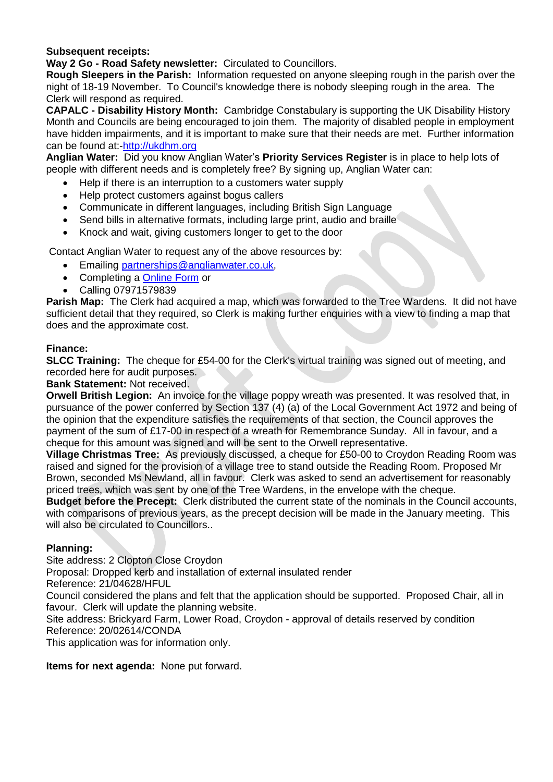## **Subsequent receipts:**

**Way 2 Go - Road Safety newsletter:** Circulated to Councillors.

**Rough Sleepers in the Parish:** Information requested on anyone sleeping rough in the parish over the night of 18-19 November. To Council's knowledge there is nobody sleeping rough in the area. The Clerk will respond as required.

**CAPALC - Disability History Month:** Cambridge Constabulary is supporting the UK Disability History Month and Councils are being encouraged to join them. The majority of disabled people in employment have hidden impairments, and it is important to make sure that their needs are met. Further information can be found at:[-http://ukdhm.org](http://ukdhn.org/)

**Anglian Water:** Did you know Anglian Water's **Priority Services Register** is in place to help lots of people with different needs and is completely free? By signing up, Anglian Water can:

- Help if there is an interruption to a customers water supply
- Help protect customers against bogus callers
- Communicate in different languages, including British Sign Language
- Send bills in alternative formats, including large print, audio and braille
- Knock and wait, giving customers longer to get to the door

Contact Anglian Water to request any of the above resources by:

- Emailing [partnerships@anglianwater.co.uk,](mailto:partnerships@anglianwater.co.uk)
- Completing a **[Online Form](https://forms.office.com/pages/responsepage.aspx?id=Ah2656Iq1UiBhePca_e4bVrpGg2wsj1IlXlPzIWJWYVURjBHVFJJQUk1MjJCQ0tLWE8yU0VBU1lLRi4u)** or
- Calling 07971579839

**Parish Map:** The Clerk had acquired a map, which was forwarded to the Tree Wardens. It did not have sufficient detail that they required, so Clerk is making further enquiries with a view to finding a map that does and the approximate cost.

#### **Finance:**

**SLCC Training:** The cheque for £54-00 for the Clerk's virtual training was signed out of meeting, and recorded here for audit purposes.

**Bank Statement:** Not received.

**Orwell British Legion:** An invoice for the village poppy wreath was presented. It was resolved that, in pursuance of the power conferred by Section 137 (4) (a) of the Local Government Act 1972 and being of the opinion that the expenditure satisfies the requirements of that section, the Council approves the payment of the sum of £17-00 in respect of a wreath for Remembrance Sunday. All in favour, and a cheque for this amount was signed and will be sent to the Orwell representative.

**Village Christmas Tree:** As previously discussed, a cheque for £50-00 to Croydon Reading Room was raised and signed for the provision of a village tree to stand outside the Reading Room. Proposed Mr Brown, seconded Ms Newland, all in favour. Clerk was asked to send an advertisement for reasonably priced trees, which was sent by one of the Tree Wardens, in the envelope with the cheque.

**Budget before the Precept:** Clerk distributed the current state of the nominals in the Council accounts, with comparisons of previous years, as the precept decision will be made in the January meeting. This will also be circulated to Councillors..

#### **Planning:**

Site address: 2 Clopton Close Croydon

Proposal: Dropped kerb and installation of external insulated render

Reference: 21/04628/HFUL

Council considered the plans and felt that the application should be supported. Proposed Chair, all in favour. Clerk will update the planning website.

Site address: Brickyard Farm, Lower Road, Croydon - approval of details reserved by condition Reference: 20/02614/CONDA

This application was for information only.

**Items for next agenda:** None put forward.